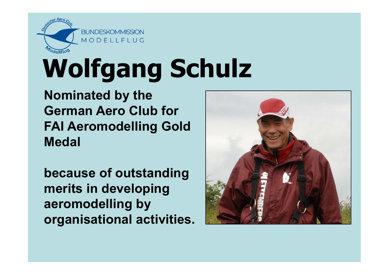

## Wolfgang Schulz

Nominated by the German Aero Club for FAI Aeromodelling Gold Medal

because of outstanding merits in developing aeromodelling by organisational activities.

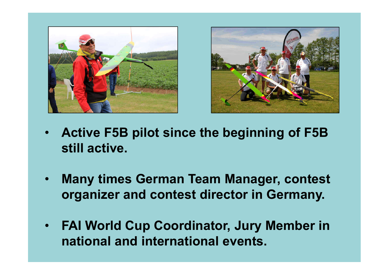



- Active F5B pilot since the beginning of F5B still active.
- Many times German Team Manager, contest organizer and contest director in Germany.
- FAI World Cup Coordinator, Jury Member in national and international events.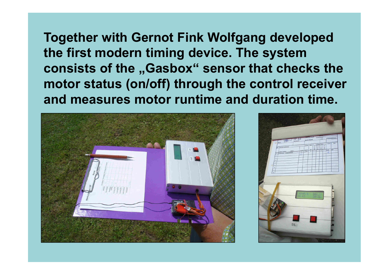Together with Gernot Fink Wolfgang developed the first modern timing device. The system consists of the "Gasbox" sensor that checks the motor status (on/off) through the control receiver and measures motor runtime and duration time.



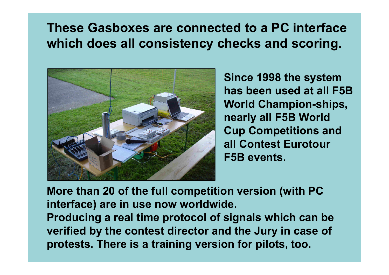## These Gasboxes are connected to a PC interface which does all consistency checks and scoring.



Since 1998 the system has been used at all F5B World Champion-ships, nearly all F5B World Cup Competitions and all Contest Eurotour F5B events.

More than 20 of the full competition version (with PC interface) are in use now worldwide. Producing a real time protocol of signals which can be verified by the contest director and the Jury in case of protests. There is a training version for pilots, too.